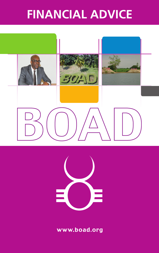# **FINANCIAL ADVICE**





www.boad.org